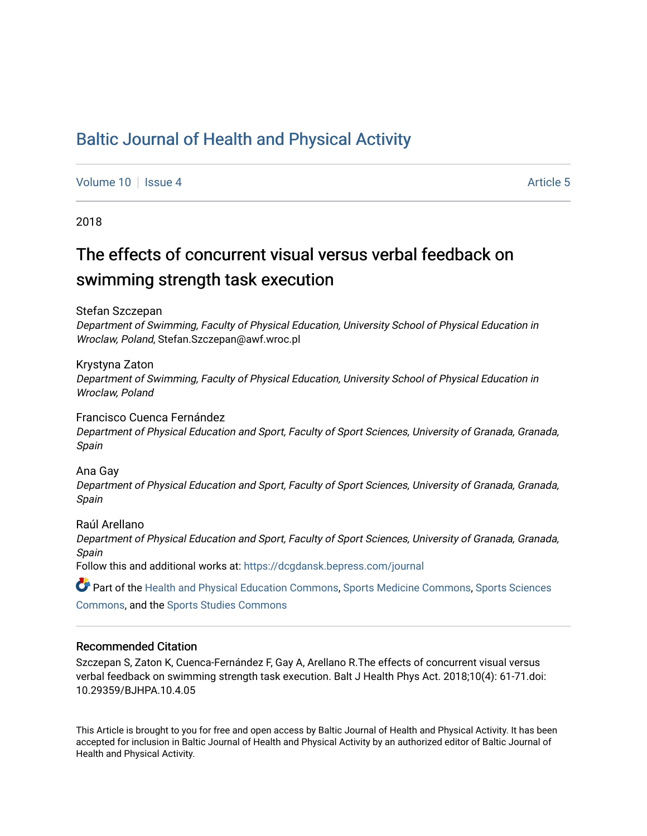# [Baltic Journal of Health and Physical Activity](https://dcgdansk.bepress.com/journal)

[Volume 10](https://dcgdansk.bepress.com/journal/vol10) | [Issue 4](https://dcgdansk.bepress.com/journal/vol10/iss4) Article 5

2018

# The effects of concurrent visual versus verbal feedback on swimming strength task execution

Stefan Szczepan

Department of Swimming, Faculty of Physical Education, University School of Physical Education in Wroclaw, Poland, Stefan.Szczepan@awf.wroc.pl

Krystyna Zaton Department of Swimming, Faculty of Physical Education, University School of Physical Education in Wroclaw, Poland

#### Francisco Cuenca Fernández

Department of Physical Education and Sport, Faculty of Sport Sciences, University of Granada, Granada, Spain

Ana Gay

Department of Physical Education and Sport, Faculty of Sport Sciences, University of Granada, Granada, Spain

Raúl Arellano Department of Physical Education and Sport, Faculty of Sport Sciences, University of Granada, Granada, Spain

Follow this and additional works at: [https://dcgdansk.bepress.com/journal](https://dcgdansk.bepress.com/journal?utm_source=dcgdansk.bepress.com%2Fjournal%2Fvol10%2Fiss4%2F5&utm_medium=PDF&utm_campaign=PDFCoverPages)

Part of the [Health and Physical Education Commons](http://network.bepress.com/hgg/discipline/1327?utm_source=dcgdansk.bepress.com%2Fjournal%2Fvol10%2Fiss4%2F5&utm_medium=PDF&utm_campaign=PDFCoverPages), [Sports Medicine Commons,](http://network.bepress.com/hgg/discipline/1331?utm_source=dcgdansk.bepress.com%2Fjournal%2Fvol10%2Fiss4%2F5&utm_medium=PDF&utm_campaign=PDFCoverPages) [Sports Sciences](http://network.bepress.com/hgg/discipline/759?utm_source=dcgdansk.bepress.com%2Fjournal%2Fvol10%2Fiss4%2F5&utm_medium=PDF&utm_campaign=PDFCoverPages) [Commons](http://network.bepress.com/hgg/discipline/759?utm_source=dcgdansk.bepress.com%2Fjournal%2Fvol10%2Fiss4%2F5&utm_medium=PDF&utm_campaign=PDFCoverPages), and the [Sports Studies Commons](http://network.bepress.com/hgg/discipline/1198?utm_source=dcgdansk.bepress.com%2Fjournal%2Fvol10%2Fiss4%2F5&utm_medium=PDF&utm_campaign=PDFCoverPages) 

#### Recommended Citation

Szczepan S, Zaton K, Cuenca-Fernández F, Gay A, Arellano R.The effects of concurrent visual versus verbal feedback on swimming strength task execution. Balt J Health Phys Act. 2018;10(4): 61-71.doi: 10.29359/BJHPA.10.4.05

This Article is brought to you for free and open access by Baltic Journal of Health and Physical Activity. It has been accepted for inclusion in Baltic Journal of Health and Physical Activity by an authorized editor of Baltic Journal of Health and Physical Activity.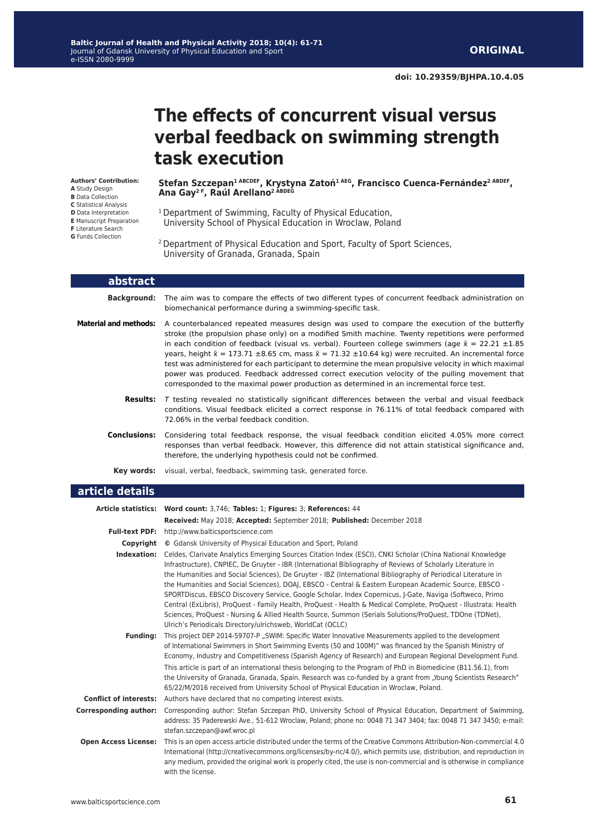# **The effects of concurrent visual versus verbal feedback on swimming strength task execution**

**Authors' Contribution: A** Study Design **B** Data Collection **C** Statistical Analysis **D** Data Interpretation **E** Manuscript Preparation **F** Literature Search **G** Funds Collection

**Stefan Szczepan1 ABCDEF, Krystyna Zatoń1 AEG, Francisco Cuenca-Fernández2 ABDEF, Ana Gay2 F, Raúl Arellano2 ABDEG**

- 1 Department of Swimming, Faculty of Physical Education, University School of Physical Education in Wroclaw, Poland
- 2 Department of Physical Education and Sport, Faculty of Sport Sciences, University of Granada, Granada, Spain

| abstract                     |                                                                                                                                                                                                                                                                                                                                                                                                                                                                                                                                                                                                                                                                                                                                                      |  |  |  |  |
|------------------------------|------------------------------------------------------------------------------------------------------------------------------------------------------------------------------------------------------------------------------------------------------------------------------------------------------------------------------------------------------------------------------------------------------------------------------------------------------------------------------------------------------------------------------------------------------------------------------------------------------------------------------------------------------------------------------------------------------------------------------------------------------|--|--|--|--|
| <b>Background:</b>           | The aim was to compare the effects of two different types of concurrent feedback administration on<br>biomechanical performance during a swimming-specific task.                                                                                                                                                                                                                                                                                                                                                                                                                                                                                                                                                                                     |  |  |  |  |
| <b>Material and methods:</b> | A counterbalanced repeated measures design was used to compare the execution of the butterfly<br>stroke (the propulsion phase only) on a modified Smith machine. Twenty repetitions were performed<br>in each condition of feedback (visual vs. verbal). Fourteen college swimmers (age $\bar{x} = 22.21 \pm 1.85$<br>years, height $\bar{x} = 173.71 \pm 8.65$ cm, mass $\bar{x} = 71.32 \pm 10.64$ kg) were recruited. An incremental force<br>test was administered for each participant to determine the mean propulsive velocity in which maximal<br>power was produced. Feedback addressed correct execution velocity of the pulling movement that<br>corresponded to the maximal power production as determined in an incremental force test. |  |  |  |  |
| <b>Results:</b>              | T testing revealed no statistically significant differences between the verbal and visual feedback<br>conditions. Visual feedback elicited a correct response in 76.11% of total feedback compared with<br>72.06% in the verbal feedback condition.                                                                                                                                                                                                                                                                                                                                                                                                                                                                                                  |  |  |  |  |
| <b>Conclusions:</b>          | Considering total feedback response, the visual feedback condition elicited 4.05% more correct<br>responses than verbal feedback. However, this difference did not attain statistical significance and,<br>therefore, the underlying hypothesis could not be confirmed.                                                                                                                                                                                                                                                                                                                                                                                                                                                                              |  |  |  |  |
| Key words:                   | visual, verbal, feedback, swimming task, generated force.                                                                                                                                                                                                                                                                                                                                                                                                                                                                                                                                                                                                                                                                                            |  |  |  |  |
| article details              |                                                                                                                                                                                                                                                                                                                                                                                                                                                                                                                                                                                                                                                                                                                                                      |  |  |  |  |
|                              | Article statistics: Word count: 3,746; Tables: 1; Figures: 3; References: 44<br>Received: May 2018; Accepted: September 2018; Published: December 2018                                                                                                                                                                                                                                                                                                                                                                                                                                                                                                                                                                                               |  |  |  |  |
|                              | Full-text PDF: http://www.balticsportscience.com                                                                                                                                                                                                                                                                                                                                                                                                                                                                                                                                                                                                                                                                                                     |  |  |  |  |
| Copyright                    | © Gdansk University of Physical Education and Sport, Poland                                                                                                                                                                                                                                                                                                                                                                                                                                                                                                                                                                                                                                                                                          |  |  |  |  |
|                              | <b>Indexation:</b> Celdes, Clarivate Analytics Emerging Sources Citation Index (ESCI), CNKI Scholar (China National Knowledge                                                                                                                                                                                                                                                                                                                                                                                                                                                                                                                                                                                                                        |  |  |  |  |

- Infrastructure), CNPIEC, De Gruyter IBR (International Bibliography of Reviews of Scholarly Literature in the Humanities and Social Sciences), De Gruyter - IBZ (International Bibliography of Periodical Literature in the Humanities and Social Sciences), DOAJ, EBSCO - Central & Eastern European Academic Source, EBSCO - SPORTDiscus, EBSCO Discovery Service, Google Scholar, Index Copernicus, J-Gate, Naviga (Softweco, Primo Central (ExLibris), ProQuest - Family Health, ProQuest - Health & Medical Complete, ProQuest - Illustrata: Health Sciences, ProQuest - Nursing & Allied Health Source, Summon (Serials Solutions/ProQuest, TDOne (TDNet), Ulrich's Periodicals Directory/ulrichsweb, WorldCat (OCLC)
- **Funding:** This project DEP 2014-59707-P .. SWIM: Specific Water Innovative Measurements applied to the development of International Swimmers in Short Swimming Events (50 and 100M)" was financed by the Spanish Ministry of Economy, Industry and Competitiveness (Spanish Agency of Research) and European Regional Development Fund. This article is part of an international thesis belonging to the Program of PhD in Biomedicine (B11.56.1), from the University of Granada, Granada, Spain. Research was co-funded by a grant from "Young Scientists Research" 65/22/M/2016 received from University School of Physical Education in Wroclaw, Poland.
- **Conflict of interests:** Authors have declared that no competing interest exists.
- **Corresponding author:** Corresponding author: Stefan Szczepan PhD, University School of Physical Education, Department of Swimming, address: 35 Paderewski Ave., 51-612 Wroclaw, Poland; phone no: 0048 71 347 3404; fax: 0048 71 347 3450; e-mail: stefan.szczepan@awf.wroc.pl
- **Open Access License:** This is an open access article distributed under the terms of the Creative Commons Attribution-Non-commercial 4.0 International (http://creativecommons.org/licenses/by-nc/4.0/), which permits use, distribution, and reproduction in any medium, provided the original work is properly cited, the use is non-commercial and is otherwise in compliance with the license.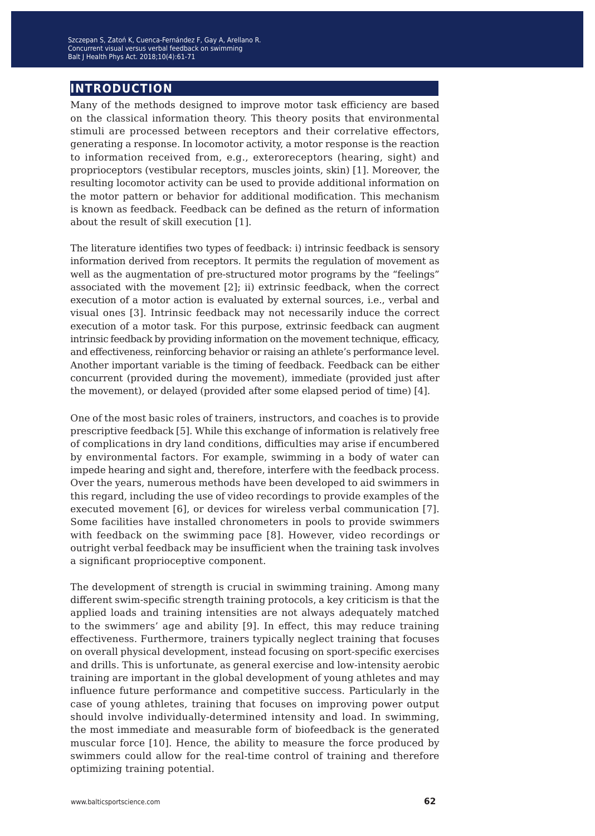### **introduction**

Many of the methods designed to improve motor task efficiency are based on the classical information theory. This theory posits that environmental stimuli are processed between receptors and their correlative effectors, generating a response. In locomotor activity, a motor response is the reaction to information received from, e.g., exteroreceptors (hearing, sight) and proprioceptors (vestibular receptors, muscles joints, skin) [1]. Moreover, the resulting locomotor activity can be used to provide additional information on the motor pattern or behavior for additional modification. This mechanism is known as feedback. Feedback can be defined as the return of information about the result of skill execution [1].

The literature identifies two types of feedback: i) intrinsic feedback is sensory information derived from receptors. It permits the regulation of movement as well as the augmentation of pre-structured motor programs by the "feelings" associated with the movement [2]; ii) extrinsic feedback, when the correct execution of a motor action is evaluated by external sources, i.e., verbal and visual ones [3]. Intrinsic feedback may not necessarily induce the correct execution of a motor task. For this purpose, extrinsic feedback can augment intrinsic feedback by providing information on the movement technique, efficacy, and effectiveness, reinforcing behavior or raising an athlete's performance level. Another important variable is the timing of feedback. Feedback can be either concurrent (provided during the movement), immediate (provided just after the movement), or delayed (provided after some elapsed period of time) [4].

One of the most basic roles of trainers, instructors, and coaches is to provide prescriptive feedback [5]. While this exchange of information is relatively free of complications in dry land conditions, difficulties may arise if encumbered by environmental factors. For example, swimming in a body of water can impede hearing and sight and, therefore, interfere with the feedback process. Over the years, numerous methods have been developed to aid swimmers in this regard, including the use of video recordings to provide examples of the executed movement [6], or devices for wireless verbal communication [7]. Some facilities have installed chronometers in pools to provide swimmers with feedback on the swimming pace [8]. However, video recordings or outright verbal feedback may be insufficient when the training task involves a significant proprioceptive component.

The development of strength is crucial in swimming training. Among many different swim-specific strength training protocols, a key criticism is that the applied loads and training intensities are not always adequately matched to the swimmers' age and ability [9]. In effect, this may reduce training effectiveness. Furthermore, trainers typically neglect training that focuses on overall physical development, instead focusing on sport-specific exercises and drills. This is unfortunate, as general exercise and low-intensity aerobic training are important in the global development of young athletes and may influence future performance and competitive success. Particularly in the case of young athletes, training that focuses on improving power output should involve individually-determined intensity and load. In swimming, the most immediate and measurable form of biofeedback is the generated muscular force [10]. Hence, the ability to measure the force produced by swimmers could allow for the real-time control of training and therefore optimizing training potential.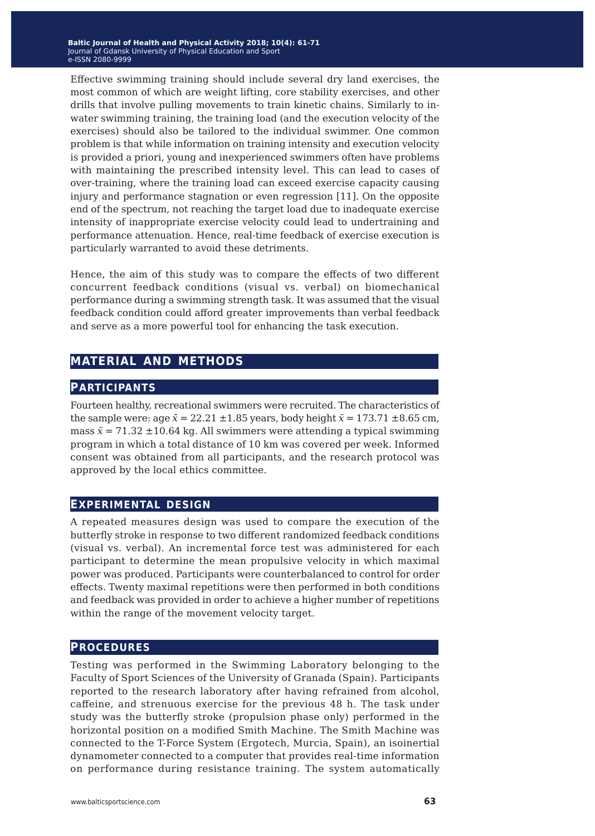Effective swimming training should include several dry land exercises, the most common of which are weight lifting, core stability exercises, and other drills that involve pulling movements to train kinetic chains. Similarly to inwater swimming training, the training load (and the execution velocity of the exercises) should also be tailored to the individual swimmer. One common problem is that while information on training intensity and execution velocity is provided a priori, young and inexperienced swimmers often have problems with maintaining the prescribed intensity level. This can lead to cases of over-training, where the training load can exceed exercise capacity causing injury and performance stagnation or even regression [11]. On the opposite end of the spectrum, not reaching the target load due to inadequate exercise intensity of inappropriate exercise velocity could lead to undertraining and performance attenuation. Hence, real-time feedback of exercise execution is particularly warranted to avoid these detriments.

Hence, the aim of this study was to compare the effects of two different concurrent feedback conditions (visual vs. verbal) on biomechanical performance during a swimming strength task. It was assumed that the visual feedback condition could afford greater improvements than verbal feedback and serve as a more powerful tool for enhancing the task execution.

### **material and methods**

### **participants**

Fourteen healthy, recreational swimmers were recruited. The characteristics of the sample were: age  $\bar{x} = 22.21 \pm 1.85$  years, body height  $\bar{x} = 173.71 \pm 8.65$  cm, mass  $\bar{x}$  = 71.32  $\pm$ 10.64 kg. All swimmers were attending a typical swimming program in which a total distance of 10 km was covered per week. Informed consent was obtained from all participants, and the research protocol was approved by the local ethics committee.

### **experimental design**

A repeated measures design was used to compare the execution of the butterfly stroke in response to two different randomized feedback conditions (visual vs. verbal). An incremental force test was administered for each participant to determine the mean propulsive velocity in which maximal power was produced. Participants were counterbalanced to control for order effects. Twenty maximal repetitions were then performed in both conditions and feedback was provided in order to achieve a higher number of repetitions within the range of the movement velocity target.

### **procedures**

Testing was performed in the Swimming Laboratory belonging to the Faculty of Sport Sciences of the University of Granada (Spain). Participants reported to the research laboratory after having refrained from alcohol, caffeine, and strenuous exercise for the previous 48 h. The task under study was the butterfly stroke (propulsion phase only) performed in the horizontal position on a modified Smith Machine. The Smith Machine was connected to the T-Force System (Ergotech, Murcia, Spain), an isoinertial dynamometer connected to a computer that provides real-time information on performance during resistance training. The system automatically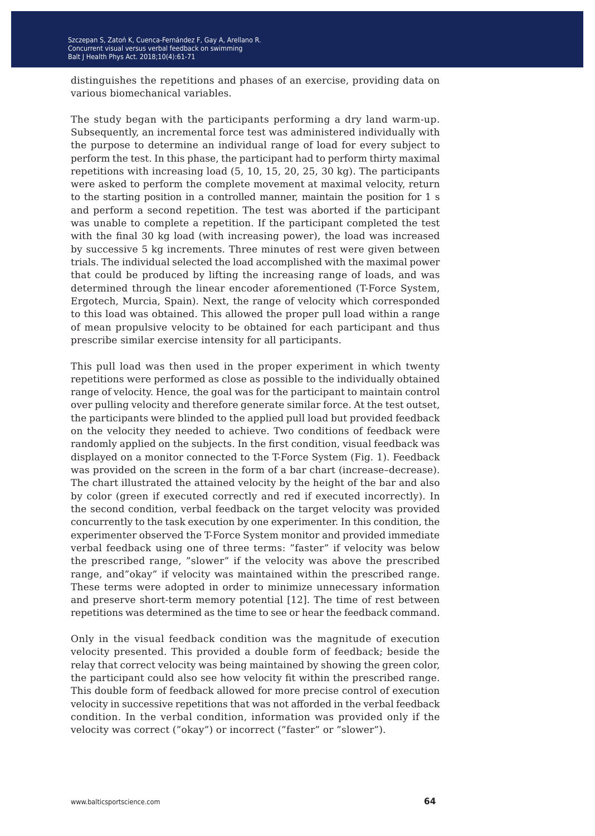distinguishes the repetitions and phases of an exercise, providing data on various biomechanical variables.

The study began with the participants performing a dry land warm-up. Subsequently, an incremental force test was administered individually with the purpose to determine an individual range of load for every subject to perform the test. In this phase, the participant had to perform thirty maximal repetitions with increasing load (5, 10, 15, 20, 25, 30 kg). The participants were asked to perform the complete movement at maximal velocity, return to the starting position in a controlled manner, maintain the position for 1 s and perform a second repetition. The test was aborted if the participant was unable to complete a repetition. If the participant completed the test with the final 30 kg load (with increasing power), the load was increased by successive 5 kg increments. Three minutes of rest were given between trials. The individual selected the load accomplished with the maximal power that could be produced by lifting the increasing range of loads, and was determined through the linear encoder aforementioned (T-Force System, Ergotech, Murcia, Spain). Next, the range of velocity which corresponded to this load was obtained. This allowed the proper pull load within a range of mean propulsive velocity to be obtained for each participant and thus prescribe similar exercise intensity for all participants.

This pull load was then used in the proper experiment in which twenty repetitions were performed as close as possible to the individually obtained range of velocity. Hence, the goal was for the participant to maintain control over pulling velocity and therefore generate similar force. At the test outset, the participants were blinded to the applied pull load but provided feedback on the velocity they needed to achieve. Two conditions of feedback were randomly applied on the subjects. In the first condition, visual feedback was displayed on a monitor connected to the T-Force System (Fig. 1). Feedback was provided on the screen in the form of a bar chart (increase–decrease). The chart illustrated the attained velocity by the height of the bar and also by color (green if executed correctly and red if executed incorrectly). In the second condition, verbal feedback on the target velocity was provided concurrently to the task execution by one experimenter. In this condition, the experimenter observed the T-Force System monitor and provided immediate verbal feedback using one of three terms: "faster" if velocity was below the prescribed range, "slower" if the velocity was above the prescribed range, and"okay" if velocity was maintained within the prescribed range. These terms were adopted in order to minimize unnecessary information and preserve short-term memory potential [12]. The time of rest between repetitions was determined as the time to see or hear the feedback command.

Only in the visual feedback condition was the magnitude of execution velocity presented. This provided a double form of feedback; beside the relay that correct velocity was being maintained by showing the green color, the participant could also see how velocity fit within the prescribed range. This double form of feedback allowed for more precise control of execution velocity in successive repetitions that was not afforded in the verbal feedback condition. In the verbal condition, information was provided only if the velocity was correct ("okay") or incorrect ("faster" or "slower").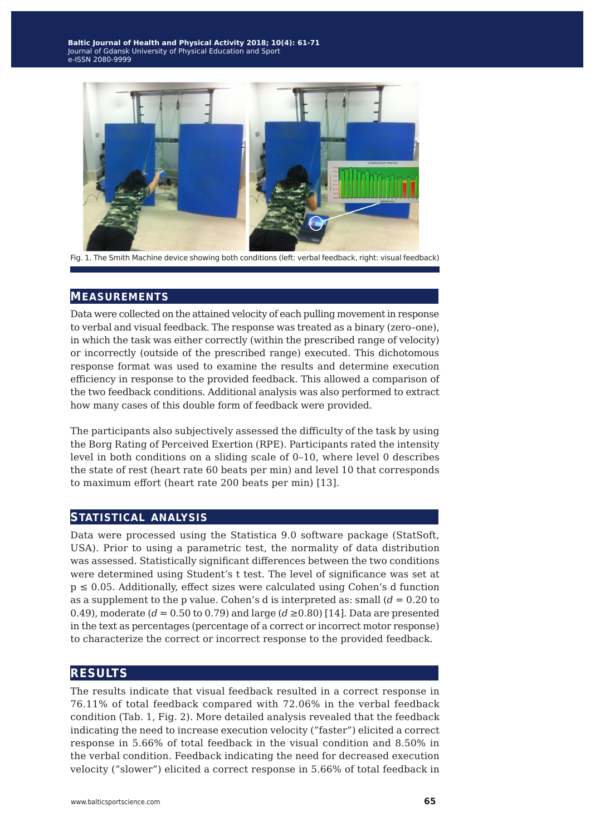

Fig. 1. The Smith Machine device showing both conditions (left: verbal feedback, right: visual feedback)

#### **measurements**

Data were collected on the attained velocity of each pulling movement in response to verbal and visual feedback. The response was treated as a binary (zero–one), in which the task was either correctly (within the prescribed range of velocity) or incorrectly (outside of the prescribed range) executed. This dichotomous response format was used to examine the results and determine execution efficiency in response to the provided feedback. This allowed a comparison of the two feedback conditions. Additional analysis was also performed to extract how many cases of this double form of feedback were provided.

The participants also subjectively assessed the difficulty of the task by using the Borg Rating of Perceived Exertion (RPE). Participants rated the intensity level in both conditions on a sliding scale of 0–10, where level 0 describes the state of rest (heart rate 60 beats per min) and level 10 that corresponds to maximum effort (heart rate 200 beats per min) [13].

### **statistical analysis**

Data were processed using the Statistica 9.0 software package (StatSoft, USA). Prior to using a parametric test, the normality of data distribution was assessed. Statistically significant differences between the two conditions were determined using Student's t test. The level of significance was set at  $p \le 0.05$ . Additionally, effect sizes were calculated using Cohen's d function as a supplement to the p value. Cohen's d is interpreted as: small (*d* = 0.20 to 0.49), moderate  $(d = 0.50 \text{ to } 0.79)$  and large  $(d \ge 0.80)$  [14]. Data are presented in the text as percentages (percentage of a correct or incorrect motor response) to characterize the correct or incorrect response to the provided feedback.

### **results**

The results indicate that visual feedback resulted in a correct response in 76.11% of total feedback compared with 72.06% in the verbal feedback condition (Tab. 1, Fig. 2). More detailed analysis revealed that the feedback indicating the need to increase execution velocity ("faster") elicited a correct response in 5.66% of total feedback in the visual condition and 8.50% in the verbal condition. Feedback indicating the need for decreased execution velocity ("slower") elicited a correct response in 5.66% of total feedback in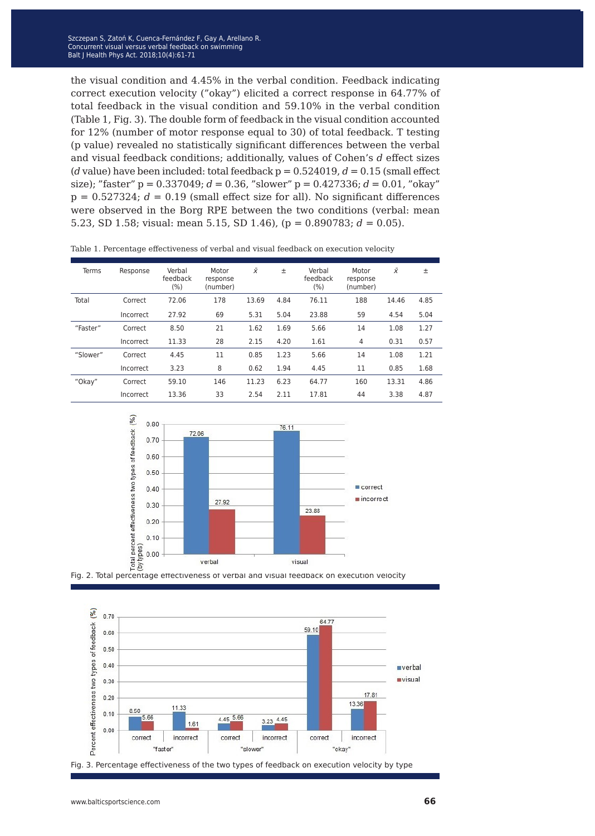the visual condition and 4.45% in the verbal condition. Feedback indicating correct execution velocity ("okay") elicited a correct response in 64.77% of total feedback in the visual condition and 59.10% in the verbal condition (Table 1, Fig. 3). The double form of feedback in the visual condition accounted for 12% (number of motor response equal to 30) of total feedback. T testing (p value) revealed no statistically significant differences between the verbal and visual feedback conditions; additionally, values of Cohen's *d* effect sizes (*d* value) have been included: total feedback  $p = 0.524019$ ,  $d = 0.15$  (small effect size); "faster" p = 0.337049; *d* = 0.36, "slower" p = 0.427336; *d* = 0.01, "okay"  $p = 0.527324$ ;  $d = 0.19$  (small effect size for all). No significant differences were observed in the Borg RPE between the two conditions (verbal: mean 5.23, SD 1.58; visual: mean 5.15, SD 1.46), ( $p = 0.890783$ ;  $d = 0.05$ ).

| Terms    | Response  | Verbal<br>feedback<br>(%) | Motor<br>response<br>(number) | $\bar{x}$ | ±    | Verbal<br>feedback<br>(%) | Motor<br>response<br>(number) | x     | 土    |
|----------|-----------|---------------------------|-------------------------------|-----------|------|---------------------------|-------------------------------|-------|------|
| Total    | Correct   | 72.06                     | 178                           | 13.69     | 4.84 | 76.11                     | 188                           | 14.46 | 4.85 |
|          | Incorrect | 27.92                     | 69                            | 5.31      | 5.04 | 23.88                     | 59                            | 4.54  | 5.04 |
| "Faster" | Correct   | 8.50                      | 21                            | 1.62      | 1.69 | 5.66                      | 14                            | 1.08  | 1.27 |
|          | Incorrect | 11.33                     | 28                            | 2.15      | 4.20 | 1.61                      | 4                             | 0.31  | 0.57 |
| "Slower" | Correct   | 4.45                      | 11                            | 0.85      | 1.23 | 5.66                      | 14                            | 1.08  | 1.21 |
|          | Incorrect | 3.23                      | 8                             | 0.62      | 1.94 | 4.45                      | 11                            | 0.85  | 1.68 |
| "Okay"   | Correct   | 59.10                     | 146                           | 11.23     | 6.23 | 64.77                     | 160                           | 13.31 | 4.86 |
|          | Incorrect | 13.36                     | 33                            | 2.54      | 2.11 | 17.81                     | 44                            | 3.38  | 4.87 |

Table 1. Percentage effectiveness of verbal and visual feedback on execution velocity







Fig. 3. Percentage effectiveness of the two types of feedback on execution velocity by type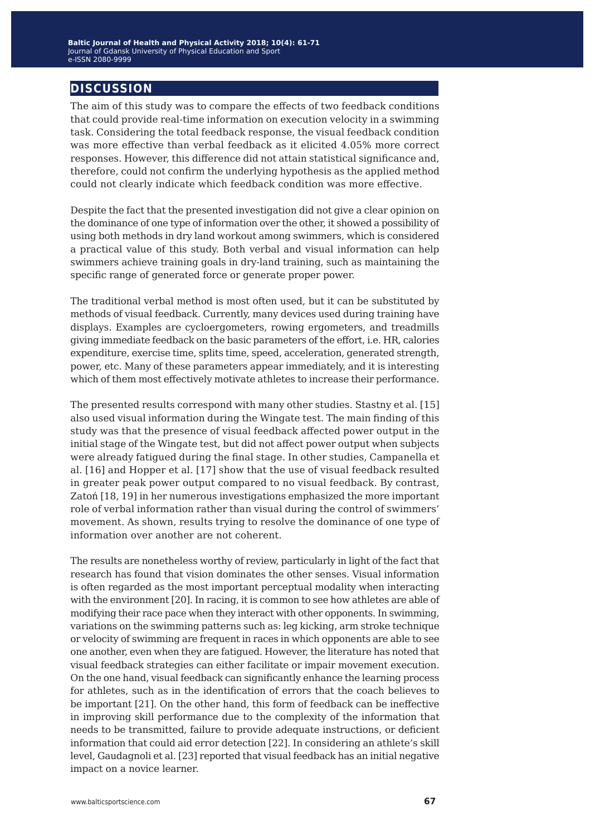## **discussion**

The aim of this study was to compare the effects of two feedback conditions that could provide real-time information on execution velocity in a swimming task. Considering the total feedback response, the visual feedback condition was more effective than verbal feedback as it elicited 4.05% more correct responses. However, this difference did not attain statistical significance and, therefore, could not confirm the underlying hypothesis as the applied method could not clearly indicate which feedback condition was more effective.

Despite the fact that the presented investigation did not give a clear opinion on the dominance of one type of information over the other, it showed a possibility of using both methods in dry land workout among swimmers, which is considered a practical value of this study. Both verbal and visual information can help swimmers achieve training goals in dry-land training, such as maintaining the specific range of generated force or generate proper power.

The traditional verbal method is most often used, but it can be substituted by methods of visual feedback. Currently, many devices used during training have displays. Examples are cycloergometers, rowing ergometers, and treadmills giving immediate feedback on the basic parameters of the effort, i.e. HR, calories expenditure, exercise time, splits time, speed, acceleration, generated strength, power, etc. Many of these parameters appear immediately, and it is interesting which of them most effectively motivate athletes to increase their performance.

The presented results correspond with many other studies. Stastny et al. [15] also used visual information during the Wingate test. The main finding of this study was that the presence of visual feedback affected power output in the initial stage of the Wingate test, but did not affect power output when subjects were already fatigued during the final stage. In other studies, Campanella et al. [16] and Hopper et al. [17] show that the use of visual feedback resulted in greater peak power output compared to no visual feedback. By contrast, Zatoń [18, 19] in her numerous investigations emphasized the more important role of verbal information rather than visual during the control of swimmers' movement. As shown, results trying to resolve the dominance of one type of information over another are not coherent.

The results are nonetheless worthy of review, particularly in light of the fact that research has found that vision dominates the other senses. Visual information is often regarded as the most important perceptual modality when interacting with the environment [20]. In racing, it is common to see how athletes are able of modifying their race pace when they interact with other opponents. In swimming, variations on the swimming patterns such as: leg kicking, arm stroke technique or velocity of swimming are frequent in races in which opponents are able to see one another, even when they are fatigued. However, the literature has noted that visual feedback strategies can either facilitate or impair movement execution. On the one hand, visual feedback can significantly enhance the learning process for athletes, such as in the identification of errors that the coach believes to be important [21]. On the other hand, this form of feedback can be ineffective in improving skill performance due to the complexity of the information that needs to be transmitted, failure to provide adequate instructions, or deficient information that could aid error detection [22]. In considering an athlete's skill level, Gaudagnoli et al. [23] reported that visual feedback has an initial negative impact on a novice learner.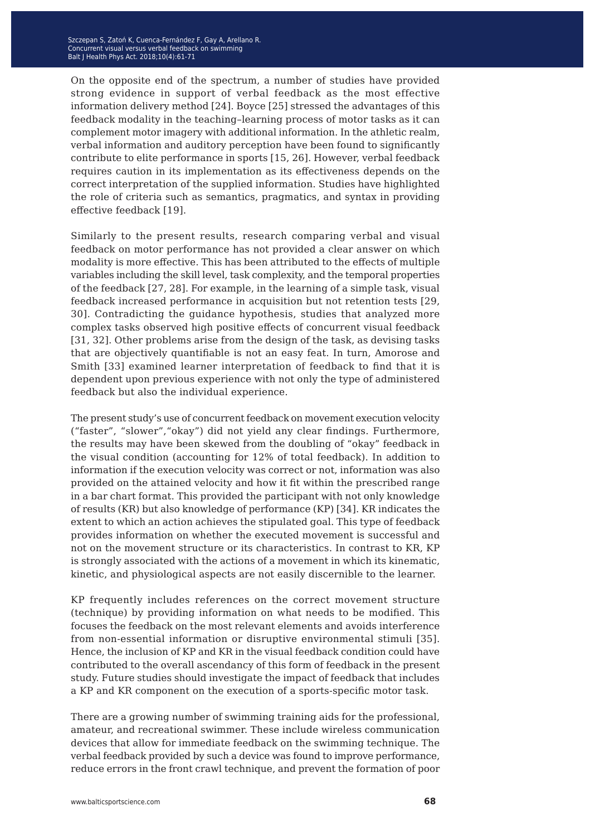On the opposite end of the spectrum, a number of studies have provided strong evidence in support of verbal feedback as the most effective information delivery method [24]. Boyce [25] stressed the advantages of this feedback modality in the teaching–learning process of motor tasks as it can complement motor imagery with additional information. In the athletic realm, verbal information and auditory perception have been found to significantly contribute to elite performance in sports [15, 26]. However, verbal feedback requires caution in its implementation as its effectiveness depends on the correct interpretation of the supplied information. Studies have highlighted the role of criteria such as semantics, pragmatics, and syntax in providing effective feedback [19].

Similarly to the present results, research comparing verbal and visual feedback on motor performance has not provided a clear answer on which modality is more effective. This has been attributed to the effects of multiple variables including the skill level, task complexity, and the temporal properties of the feedback [27, 28]. For example, in the learning of a simple task, visual feedback increased performance in acquisition but not retention tests [29, 30]. Contradicting the guidance hypothesis, studies that analyzed more complex tasks observed high positive effects of concurrent visual feedback [31, 32]. Other problems arise from the design of the task, as devising tasks that are objectively quantifiable is not an easy feat. In turn, Amorose and Smith [33] examined learner interpretation of feedback to find that it is dependent upon previous experience with not only the type of administered feedback but also the individual experience.

The present study's use of concurrent feedback on movement execution velocity ("faster", "slower","okay") did not yield any clear findings. Furthermore, the results may have been skewed from the doubling of "okay" feedback in the visual condition (accounting for 12% of total feedback). In addition to information if the execution velocity was correct or not, information was also provided on the attained velocity and how it fit within the prescribed range in a bar chart format. This provided the participant with not only knowledge of results (KR) but also knowledge of performance (KP) [34]. KR indicates the extent to which an action achieves the stipulated goal. This type of feedback provides information on whether the executed movement is successful and not on the movement structure or its characteristics. In contrast to KR, KP is strongly associated with the actions of a movement in which its kinematic, kinetic, and physiological aspects are not easily discernible to the learner.

KP frequently includes references on the correct movement structure (technique) by providing information on what needs to be modified. This focuses the feedback on the most relevant elements and avoids interference from non-essential information or disruptive environmental stimuli [35]. Hence, the inclusion of KP and KR in the visual feedback condition could have contributed to the overall ascendancy of this form of feedback in the present study. Future studies should investigate the impact of feedback that includes a KP and KR component on the execution of a sports-specific motor task.

There are a growing number of swimming training aids for the professional, amateur, and recreational swimmer. These include wireless communication devices that allow for immediate feedback on the swimming technique. The verbal feedback provided by such a device was found to improve performance, reduce errors in the front crawl technique, and prevent the formation of poor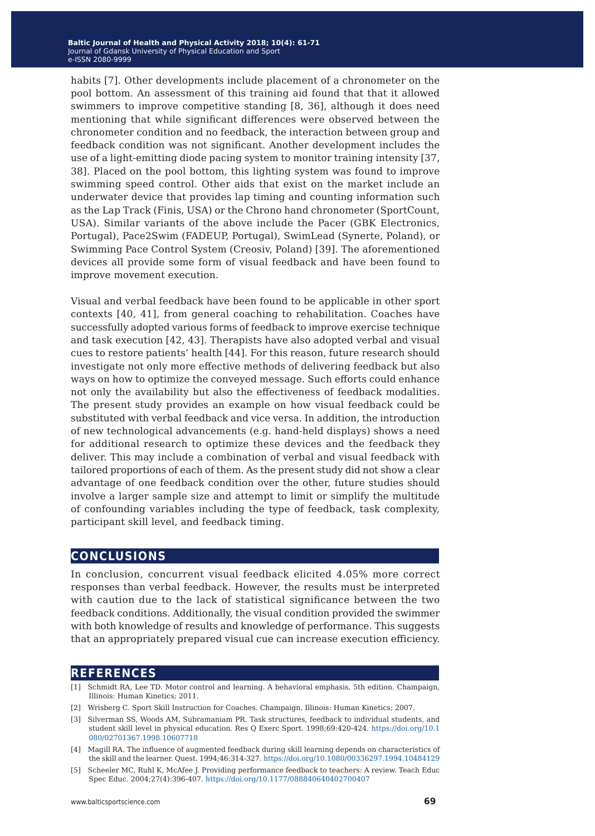habits [7]. Other developments include placement of a chronometer on the pool bottom. An assessment of this training aid found that that it allowed swimmers to improve competitive standing [8, 36], although it does need mentioning that while significant differences were observed between the chronometer condition and no feedback, the interaction between group and feedback condition was not significant. Another development includes the use of a light-emitting diode pacing system to monitor training intensity [37, 38]. Placed on the pool bottom, this lighting system was found to improve swimming speed control. Other aids that exist on the market include an underwater device that provides lap timing and counting information such as the Lap Track (Finis, USA) or the Chrono hand chronometer (SportCount, USA). Similar variants of the above include the Pacer (GBK Electronics, Portugal), Pace2Swim (FADEUP, Portugal), SwimLead (Synerte, Poland), or Swimming Pace Control System (Creosiv, Poland) [39]. The aforementioned devices all provide some form of visual feedback and have been found to improve movement execution.

Visual and verbal feedback have been found to be applicable in other sport contexts [40, 41], from general coaching to rehabilitation. Coaches have successfully adopted various forms of feedback to improve exercise technique and task execution [42, 43]. Therapists have also adopted verbal and visual cues to restore patients' health [44]. For this reason, future research should investigate not only more effective methods of delivering feedback but also ways on how to optimize the conveyed message. Such efforts could enhance not only the availability but also the effectiveness of feedback modalities. The present study provides an example on how visual feedback could be substituted with verbal feedback and vice versa. In addition, the introduction of new technological advancements (e.g. hand-held displays) shows a need for additional research to optimize these devices and the feedback they deliver. This may include a combination of verbal and visual feedback with tailored proportions of each of them. As the present study did not show a clear advantage of one feedback condition over the other, future studies should involve a larger sample size and attempt to limit or simplify the multitude of confounding variables including the type of feedback, task complexity, participant skill level, and feedback timing.

### **conclusions**

In conclusion, concurrent visual feedback elicited 4.05% more correct responses than verbal feedback. However, the results must be interpreted with caution due to the lack of statistical significance between the two feedback conditions. Additionally, the visual condition provided the swimmer with both knowledge of results and knowledge of performance. This suggests that an appropriately prepared visual cue can increase execution efficiency.

#### **references**

- [1] Schmidt RA, Lee TD. Motor control and learning. A behavioral emphasis, 5th edition. Champaign, Illinois: Human Kinetics; 2011.
- [2] Wrisberg C. Sport Skill Instruction for Coaches. Champaign, Illinois: Human Kinetics; 2007.
- [3] Silverman SS, Woods AM, Subramaniam PR. Task structures, feedback to individual students, and student skill level in physical education. Res Q Exerc Sport. 1998;69:420-424. [https://doi.org/10.1](https://doi.org/10.1080/02701367.1998.10607718) [080/02701367.1998.10607718](https://doi.org/10.1080/02701367.1998.10607718)
- [4] Magill RA. The influence of augmented feedback during skill learning depends on characteristics of the skill and the learner. Quest. 1994;46:314-327.<https://doi.org/10.1080/00336297.1994.10484129>
- [5] Scheeler MC, Ruhl K, McAfee J. Providing performance feedback to teachers: A review. Teach Educ Spec Educ. 2004;27(4):396-407. <https://doi.org/10.1177/088840640402700407>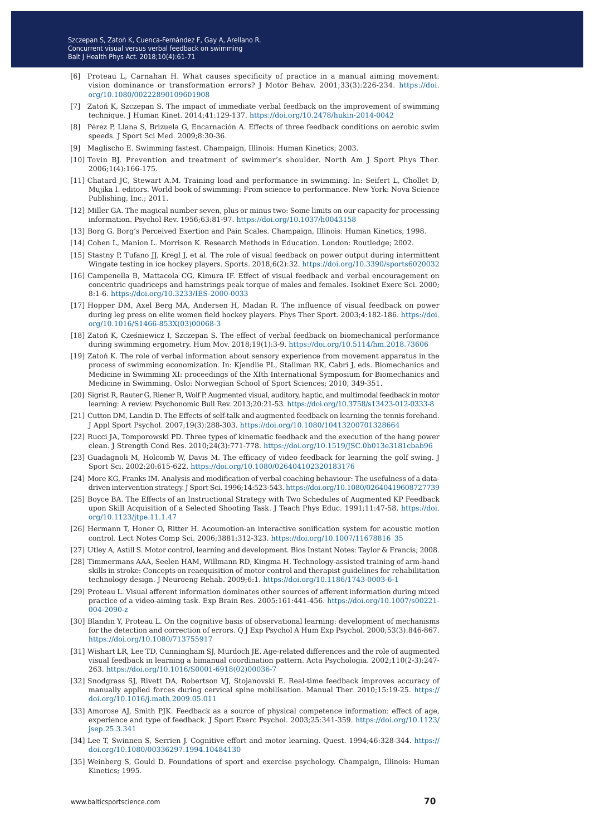- [6] Proteau L, Carnahan H. What causes specificity of practice in a manual aiming movement: vision dominance or transformation errors? J Motor Behav. 2001;33(3):226-234. [https://doi.](https://doi.org/10.1080/00222890109601908) [org/10.1080/00222890109601908](https://doi.org/10.1080/00222890109601908)
- [7] Zatoń K, Szczepan S. The impact of immediate verbal feedback on the improvement of swimming technique. J Human Kinet. 2014;41:129-137. <https://doi.org/10.2478/hukin-2014-0042>
- [8] Pérez P, Llana S, Brizuela G, Encarnación A. Effects of three feedback conditions on aerobic swim speeds. J Sport Sci Med. 2009;8:30-36.
- [9] Maglischo E. Swimming fastest. Champaign, Illinois: Human Kinetics; 2003.
- [10] Tovin BJ. Prevention and treatment of swimmer's shoulder. North Am J Sport Phys Ther. 2006;1(4):166-175.
- [11] Chatard JC, Stewart A.M. Training load and performance in swimming. In: Seifert L, Chollet D, Mujika I. editors. World book of swimming: From science to performance. New York: Nova Science Publishing, Inc.; 2011.
- [12] Miller GA. The magical number seven, plus or minus two: Some limits on our capacity for processing information. Psychol Rev. 1956;63:81-97. <https://doi.org/10.1037/h0043158>
- [13] Borg G. Borg's Perceived Exertion and Pain Scales. Champaign, Illinois: Human Kinetics; 1998.
- [14] Cohen L, Manion L. Morrison K. Research Methods in Education. London: Routledge; 2002.
- [15] Stastny P, Tufano JJ, Kregl J, et al. The role of visual feedback on power output during intermittent Wingate testing in ice hockey players. Sports. 2018;6(2):32.<https://doi.org/10.3390/sports6020032>
- [16] Campenella B, Mattacola CG, Kimura IF. Effect of visual feedback and verbal encouragement on concentric quadriceps and hamstrings peak torque of males and females. Isokinet Exerc Sci. 2000; 8:1-6.<https://doi.org/10.3233/IES-2000-0033>
- [17] Hopper DM, Axel Berg MA, Andersen H, Madan R. The influence of visual feedback on power during leg press on elite women field hockey players. Phys Ther Sport. 2003;4:182-186. [https://doi.](https://doi.org/10.1016/S1466-853X(03)00068-3) [org/10.1016/S1466-853X\(03\)00068-3](https://doi.org/10.1016/S1466-853X(03)00068-3)
- [18] Zatoń K, Cześniewicz I, Szczepan S. The effect of verbal feedback on biomechanical performance during swimming ergometry. Hum Mov. 2018;19(1):3-9. <https://doi.org/10.5114/hm.2018.73606>
- [19] Zatoń K. The role of verbal information about sensory experience from movement apparatus in the process of swimming economization. In: Kjendlie PL, Stallman RK, Cabri J, eds. Biomechanics and Medicine in Swimming XI: proceedings of the XIth International Symposium for Biomechanics and Medicine in Swimming. Oslo: Norwegian School of Sport Sciences; 2010, 349-351.
- [20] Sigrist R, Rauter G, Riener R, Wolf P. Augmented visual, auditory, haptic, and multimodal feedback in motor learning: A review. Psychonomic Bull Rev. 2013;20:21-53.<https://doi.org/10.3758/s13423-012-0333-8>
- [21] Cutton DM, Landin D. The Effects of self-talk and augmented feedback on learning the tennis forehand. J Appl Sport Psychol. 2007;19(3):288-303.<https://doi.org/10.1080/10413200701328664>
- [22] Rucci JA, Tomporowski PD. Three types of kinematic feedback and the execution of the hang power clean. J Strength Cond Res. 2010;24(3):771-778. <https://doi.org/10.1519/JSC.0b013e3181cbab96>
- [23] Guadagnoli M, Holcomb W, Davis M. The efficacy of video feedback for learning the golf swing. J Sport Sci. 2002;20:615-622. <https://doi.org/10.1080/026404102320183176>
- [24] More KG, Franks IM. Analysis and modification of verbal coaching behaviour: The usefulness of a datadriven intervention strategy. J Sport Sci. 1996;14:523-543.<https://doi.org/10.1080/02640419608727739>
- [25] Boyce BA. The Effects of an Instructional Strategy with Two Schedules of Augmented KP Feedback upon Skill Acquisition of a Selected Shooting Task. J Teach Phys Educ. 1991;11:47-58. [https://doi.](https://doi.org/10.1123/jtpe.11.1.47) [org/10.1123/jtpe.11.1.47](https://doi.org/10.1123/jtpe.11.1.47)
- [26] Hermann T, Honer O, Ritter H. Acoumotion-an interactive sonification system for acoustic motion control. Lect Notes Comp Sci. 2006;3881:312-323. [https://doi.org/10.1007/11678816\\_35](https://doi.org/10.1007/11678816_35)
- [27] Utley A, Astill S. Motor control, learning and development. Bios Instant Notes: Taylor & Francis; 2008.
- [28] Timmermans AAA, Seelen HAM, Willmann RD, Kingma H. Technology-assisted training of arm-hand skills in stroke: Concepts on reacquisition of motor control and therapist guidelines for rehabilitation technology design. J Neuroeng Rehab. 2009;6:1.<https://doi.org/10.1186/1743-0003-6-1>
- [29] Proteau L. Visual afferent information dominates other sources of afferent information during mixed practice of a video-aiming task. Exp Brain Res. 2005:161:441-456. [https://doi.org/10.1007/s00221-](https://doi.org/10.1007/s00221-004-2090-z) [004-2090-z](https://doi.org/10.1007/s00221-004-2090-z)
- [30] Blandin Y, Proteau L. On the cognitive basis of observational learning: development of mechanisms for the detection and correction of errors. Q J Exp Psychol A Hum Exp Psychol. 2000;53(3):846-867. <https://doi.org/10.1080/713755917>
- [31] Wishart LR, Lee TD, Cunningham SJ, Murdoch JE. Age-related differences and the role of augmented visual feedback in learning a bimanual coordination pattern. Acta Psychologia. 2002;110(2-3):247- 263. [https://doi.org/10.1016/S0001-6918\(02\)00036-7](https://doi.org/10.1016/S0001-6918(02)00036-7)
- [32] Snodgrass SJ, Rivett DA, Robertson VJ, Stojanovski E. Real-time feedback improves accuracy of manually applied forces during cervical spine mobilisation. Manual Ther. 2010;15:19-25. [https://](https://doi.org/10.1016/j.math.2009.05.011) [doi.org/10.1016/j.math.2009.05.011](https://doi.org/10.1016/j.math.2009.05.011)
- [33] Amorose AJ, Smith PJK. Feedback as a source of physical competence information: effect of age, experience and type of feedback. J Sport Exerc Psychol. 2003;25:341-359. [https://doi.org/10.1123/](https://doi.org/10.1123/jsep.25.3.341) [jsep.25.3.341](https://doi.org/10.1123/jsep.25.3.341)
- [34] Lee T, Swinnen S, Serrien J. Cognitive effort and motor learning. Quest. 1994;46:328-344. [https://](https://doi.org/10.1080/00336297.1994.10484130) [doi.org/10.1080/00336297.1994.10484130](https://doi.org/10.1080/00336297.1994.10484130)
- [35] Weinberg S, Gould D. Foundations of sport and exercise psychology. Champaign, Illinois: Human Kinetics; 1995.